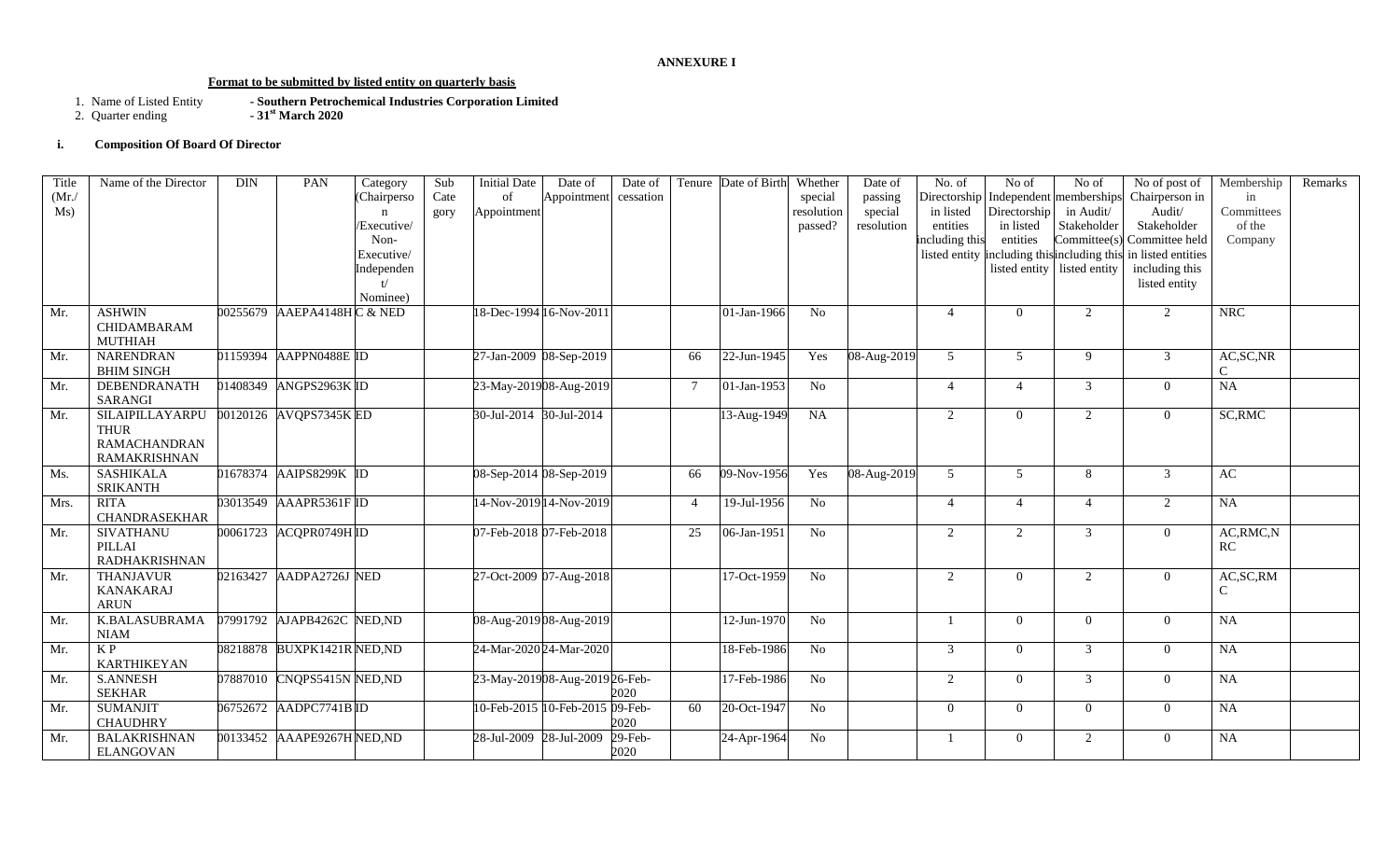#### **ANNEXURE I**

# **Format to be submitted by listed entity on quarterly basis**

- 1. Name of Listed Entity **- Southern Petrochemical Industries Corporation Limited**
- 2. Quarter ending **- 31st March 2020**

# **i. Composition Of Board Of Director**

| Title | Name of the Director | <b>DIN</b> | PAN                         | Category    | Sub  | <b>Initial Date</b>     | Date of                         | Date of    |                | Tenure Date of Birth | Whether         | Date of     | No. of         | No of          | No of                                       | No of post of      | Membership    | Remarks |
|-------|----------------------|------------|-----------------------------|-------------|------|-------------------------|---------------------------------|------------|----------------|----------------------|-----------------|-------------|----------------|----------------|---------------------------------------------|--------------------|---------------|---------|
| (Mr)  |                      |            |                             | (Chairperso | Cate | of                      | Appointment                     | cessation  |                |                      | special         | passing     |                |                | Directorship Independent memberships        | Chairperson in     | in            |         |
| Ms)   |                      |            |                             |             | gory | Appointment             |                                 |            |                |                      | resolution      | special     | in listed      | Directorship   | in Audit/                                   | Audit/             | Committees    |         |
|       |                      |            |                             | Executive/  |      |                         |                                 |            |                |                      | passed?         | resolution  | entities       | in listed      | Stakeholder                                 | Stakeholder        | of the        |         |
|       |                      |            |                             | Non-        |      |                         |                                 |            |                |                      |                 |             | including this | entities       | Committee(s)                                | Committee held     | Company       |         |
|       |                      |            |                             | Executive/  |      |                         |                                 |            |                |                      |                 |             |                |                | listed entity including this including this | in listed entities |               |         |
|       |                      |            |                             | Independen  |      |                         |                                 |            |                |                      |                 |             |                |                | listed entity listed entity                 | including this     |               |         |
|       |                      |            |                             |             |      |                         |                                 |            |                |                      |                 |             |                |                |                                             | listed entity      |               |         |
|       |                      |            |                             | Nominee)    |      |                         |                                 |            |                |                      |                 |             |                |                |                                             |                    |               |         |
| Mr.   | <b>ASHWIN</b>        |            | 00255679 AAEPA4148HC & NED  |             |      | 18-Dec-1994 16-Nov-2011 |                                 |            |                | 01-Jan-1966          | No              |             | $\overline{4}$ | $\theta$       | 2                                           | 2                  | <b>NRC</b>    |         |
|       | CHIDAMBARAM          |            |                             |             |      |                         |                                 |            |                |                      |                 |             |                |                |                                             |                    |               |         |
|       | <b>MUTHIAH</b>       |            |                             |             |      |                         |                                 |            |                |                      |                 |             |                |                |                                             |                    |               |         |
| Mr.   | <b>NARENDRAN</b>     |            | 01159394 AAPPN0488E ID      |             |      | 27-Jan-2009 08-Sep-2019 |                                 |            | 66             | 22-Jun-1945          | Yes             | 08-Aug-2019 | 5              | 5              | 9                                           | 3                  | AC, SC, NR    |         |
|       | <b>BHIM SINGH</b>    |            |                             |             |      |                         |                                 |            |                |                      |                 |             |                |                |                                             |                    | $\mathcal{C}$ |         |
| Mr.   | DEBENDRANATH         |            | 01408349 ANGPS2963K ID      |             |      | 23-May-201908-Aug-2019  |                                 |            | $\tau$         | 01-Jan-1953          | No              |             | $\overline{4}$ | $\overline{4}$ | 3                                           | $\overline{0}$     | <b>NA</b>     |         |
|       | <b>SARANGI</b>       |            |                             |             |      |                         |                                 |            |                |                      |                 |             |                |                |                                             |                    |               |         |
| Mr.   | SILAIPILLAYARPU      |            | 00120126 AVQPS7345K ED      |             |      | 30-Jul-2014 30-Jul-2014 |                                 |            |                | 13-Aug-1949          | NA              |             | 2              | $\Omega$       | 2                                           | $\overline{0}$     | SC, RMC       |         |
|       | <b>THUR</b>          |            |                             |             |      |                         |                                 |            |                |                      |                 |             |                |                |                                             |                    |               |         |
|       | <b>RAMACHANDRAN</b>  |            |                             |             |      |                         |                                 |            |                |                      |                 |             |                |                |                                             |                    |               |         |
|       | <b>RAMAKRISHNAN</b>  |            |                             |             |      |                         |                                 |            |                |                      |                 |             |                |                |                                             |                    |               |         |
| Ms.   | <b>SASHIKALA</b>     | 01678374   | AAIPS8299K ID               |             |      | 08-Sep-2014 08-Sep-2019 |                                 |            | 66             | 09-Nov-1956          | Yes             | 08-Aug-2019 | 5              | 5              | 8                                           | $\mathfrak{Z}$     | AC            |         |
|       | <b>SRIKANTH</b>      |            |                             |             |      |                         |                                 |            |                |                      |                 |             |                |                |                                             |                    |               |         |
| Mrs.  | <b>RITA</b>          |            | 03013549 AAAPR5361F ID      |             |      |                         | 14-Nov-2019 14-Nov-2019         |            | $\overline{4}$ | 19-Jul-1956          | N <sub>o</sub>  |             | $\overline{4}$ | $\overline{4}$ | $\overline{4}$                              | 2                  | <b>NA</b>     |         |
|       | <b>CHANDRASEKHAR</b> |            |                             |             |      |                         |                                 |            |                |                      |                 |             |                |                |                                             |                    |               |         |
| Mr.   | <b>SIVATHANU</b>     |            | 00061723 ACQPR0749HID       |             |      | 07-Feb-2018 07-Feb-2018 |                                 |            | 25             | 06-Jan-1951          | N <sub>o</sub>  |             | 2              | $\overline{2}$ | 3                                           | $\overline{0}$     | AC, RMC, N    |         |
|       | PILLAI               |            |                             |             |      |                         |                                 |            |                |                      |                 |             |                |                |                                             |                    | RC            |         |
|       | <b>RADHAKRISHNAN</b> |            |                             |             |      |                         |                                 |            |                |                      |                 |             |                |                |                                             |                    |               |         |
| Mr.   | <b>THANJAVUR</b>     |            | 02163427 AADPA2726J NED     |             |      | 27-Oct-2009 07-Aug-2018 |                                 |            |                | 17-Oct-1959          | N <sub>o</sub>  |             | 2              | $\Omega$       | 2                                           | $\overline{0}$     | AC, SC, RM    |         |
|       | <b>KANAKARAJ</b>     |            |                             |             |      |                         |                                 |            |                |                      |                 |             |                |                |                                             |                    | $\mathcal{C}$ |         |
|       | <b>ARUN</b>          |            |                             |             |      |                         |                                 |            |                |                      |                 |             |                |                |                                             |                    |               |         |
| Mr.   | <b>K.BALASUBRAMA</b> |            | 07991792 AJAPB4262C NED, ND |             |      | 08-Aug-201908-Aug-2019  |                                 |            |                | 12-Jun-1970          | $\overline{No}$ |             |                | $\Omega$       | $\overline{0}$                              | $\overline{0}$     | NA            |         |
|       | <b>NIAM</b>          |            |                             |             |      |                         |                                 |            |                |                      |                 |             |                |                |                                             |                    |               |         |
| Mr.   | $\overline{KP}$      |            | 08218878 BUXPK1421R NED, ND |             |      | 24-Mar-2020 24-Mar-2020 |                                 |            |                | 18-Feb-1986          | $\overline{No}$ |             | 3              | $\theta$       | 3                                           | $\overline{0}$     | NA            |         |
|       | <b>KARTHIKEYAN</b>   |            |                             |             |      |                         |                                 |            |                |                      |                 |             |                |                |                                             |                    |               |         |
| Mr.   | <b>S.ANNESH</b>      |            | 07887010 CNQPS5415N NED, ND |             |      |                         | 23-May-201908-Aug-201926-Feb-   |            |                | 17-Feb-1986          | N <sub>o</sub>  |             | 2              | $\Omega$       | 3                                           | $\overline{0}$     | NA            |         |
|       | <b>SEKHAR</b>        |            |                             |             |      |                         |                                 | 2020       |                |                      |                 |             |                |                |                                             |                    |               |         |
| Mr.   | <b>SUMANJIT</b>      |            | 06752672 AADPC7741B ID      |             |      |                         | 10-Feb-2015 10-Feb-2015 09-Feb- |            | 60             | 20-Oct-1947          | No              |             | $\theta$       | $\overline{0}$ | $\overline{0}$                              | $\overline{0}$     | NA            |         |
|       | <b>CHAUDHRY</b>      |            |                             |             |      |                         |                                 | 2020       |                |                      |                 |             |                |                |                                             |                    |               |         |
| Mr.   | <b>BALAKRISHNAN</b>  |            | 00133452 AAAPE9267H NED, ND |             |      | 28-Jul-2009 28-Jul-2009 |                                 | $29$ -Feb- |                | 24-Apr-1964          | No              |             |                | $\Omega$       | 2                                           | $\overline{0}$     | NA            |         |
|       | <b>ELANGOVAN</b>     |            |                             |             |      |                         |                                 | 2020       |                |                      |                 |             |                |                |                                             |                    |               |         |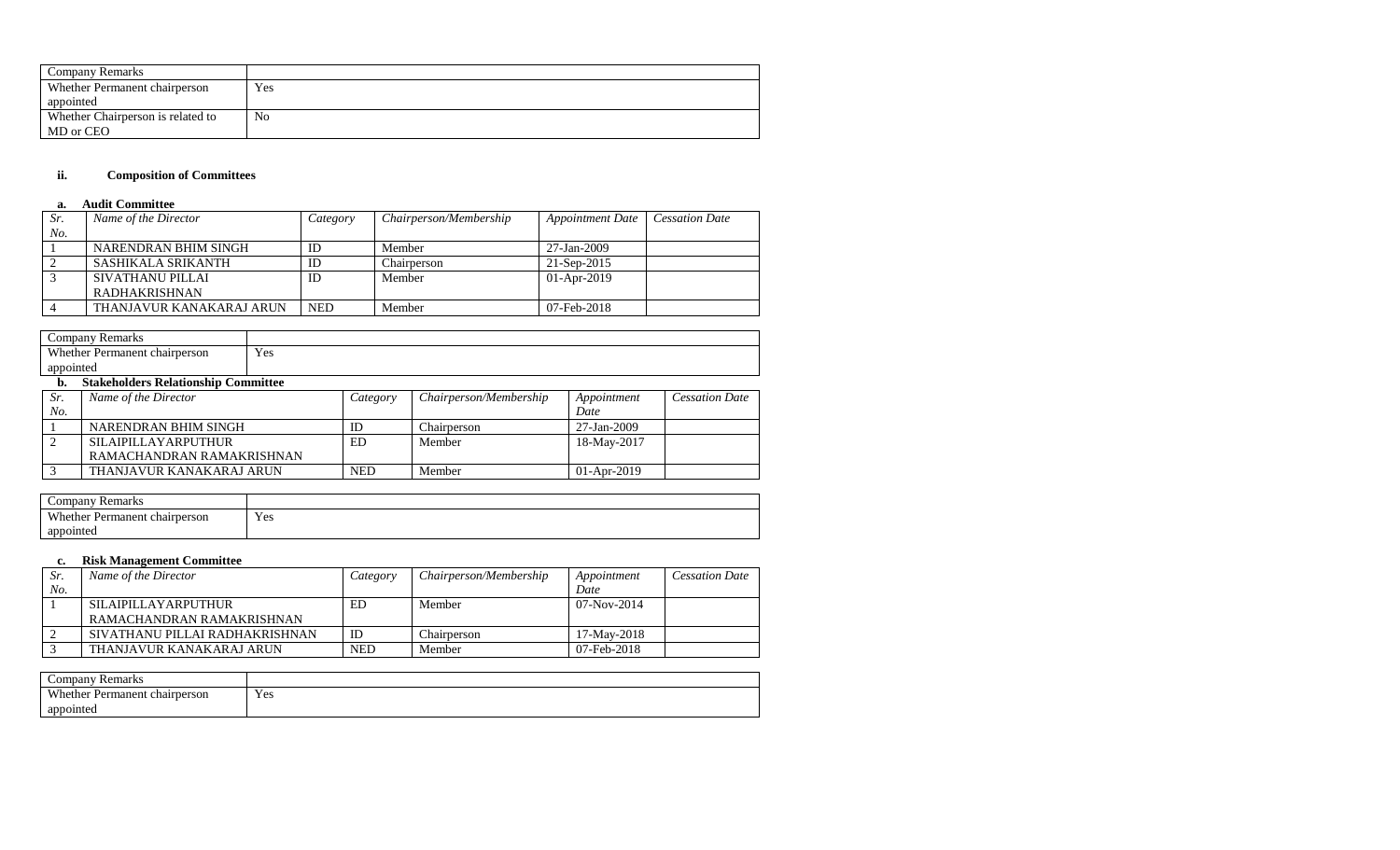| Company Remarks                   |     |
|-----------------------------------|-----|
| Whether Permanent chairperson     | Yes |
| appointed                         |     |
| Whether Chairperson is related to | No  |
| MD or CEO                         |     |

# **ii. Composition of Committees**

### **a. Audit Committee**

| Sr. | Name of the Director     | Category   | Chairperson/Membership | <b>Appointment Date</b> | <b>Cessation Date</b> |
|-----|--------------------------|------------|------------------------|-------------------------|-----------------------|
| No. |                          |            |                        |                         |                       |
|     | NARENDRAN BHIM SINGH     | ID         | Member                 | 27-Jan-2009             |                       |
|     | SASHIKALA SRIKANTH       | ID         | Chairperson            | 21-Sep-2015             |                       |
|     | SIVATHANU PILLAI         | ID         | Member                 | $01-Apr-2019$           |                       |
|     | RADHAKRISHNAN            |            |                        |                         |                       |
|     | THANJAVUR KANAKARAJ ARUN | <b>NED</b> | Member                 | 07-Feb-2018             |                       |

|           | Company Remarks                            |     |          |                        |                 |                       |
|-----------|--------------------------------------------|-----|----------|------------------------|-----------------|-----------------------|
|           | Whether Permanent chairperson              | Yes |          |                        |                 |                       |
| appointed |                                            |     |          |                        |                 |                       |
| b.        | <b>Stakeholders Relationship Committee</b> |     |          |                        |                 |                       |
| Sr.       | Name of the Director                       |     | Category | Chairperson/Membership | Appointment     | <b>Cessation Date</b> |
| No.       |                                            |     |          |                        | Date            |                       |
|           |                                            |     | $-$      | ____                   | $ -$<br>- - - - |                       |

| 1 Y U . |                            |     |             | Duic          |
|---------|----------------------------|-----|-------------|---------------|
|         | NARENDRAN BHIM SINGH       | ID  | hairperson_ | 27-Jan-2009   |
|         | <b>SILAIPILLAYARPUTHUR</b> | ED  | Member      | 18-May-2017   |
|         | RAMACHANDRAN RAMAKRISHNAN  |     |             |               |
|         | THANJAVUR KANAKARAJ ARUN   | NED | Member      | $01-Apr-2019$ |

| Remarks<br>$\mathsf{compan}$  |     |
|-------------------------------|-----|
| Whether Permanent chairperson | Yes |
| appointed                     |     |

# **c. Risk Management Committee**

| Sr. | Name of the Director           | Category   | Chairperson/Membership | Appointment   | <b>Cessation Date</b> |
|-----|--------------------------------|------------|------------------------|---------------|-----------------------|
| No. |                                |            |                        | Date          |                       |
|     | <b>SILAIPILLAYARPUTHUR</b>     | ED         | Member                 | $07-Nov-2014$ |                       |
|     | RAMACHANDRAN RAMAKRISHNAN      |            |                        |               |                       |
|     | SIVATHANU PILLAI RADHAKRISHNAN | ID         | Chairperson            | 17-May-2018   |                       |
|     | THANJAVUR KANAKARAJ ARUN       | <b>NED</b> | Member                 | 07-Feb-2018   |                       |

| $\sim$<br>Companv<br>Remarks              |     |
|-------------------------------------------|-----|
| <b>Whether Permanent</b><br>t chairperson | Yes |
| appointed                                 |     |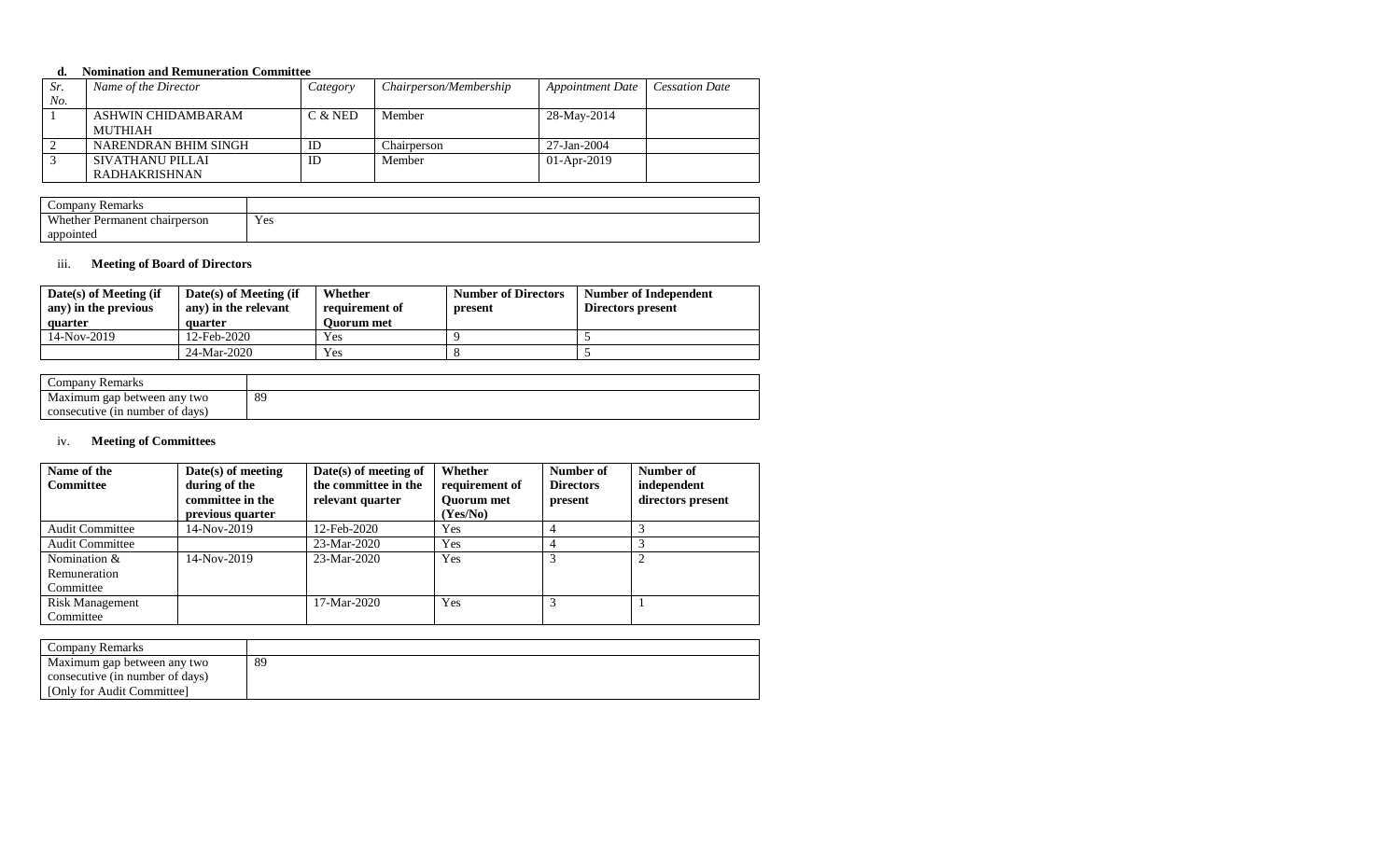#### **d. Nomination and Remuneration Committee**

| Sr. | Name of the Director | Category | Chairperson/Membership | <b>Appointment Date</b> | <b>Cessation Date</b> |
|-----|----------------------|----------|------------------------|-------------------------|-----------------------|
| No. |                      |          |                        |                         |                       |
|     | ASHWIN CHIDAMBARAM   | C & NED  | Member                 | 28-May-2014             |                       |
|     | MUTHIAH              |          |                        |                         |                       |
|     | NARENDRAN BHIM SINGH | ID       | Chairperson            | 27-Jan-2004             |                       |
|     | SIVATHANU PILLAI     | ID       | Member                 | $01-Apr-2019$           |                       |
|     | RADHAKRISHNAN        |          |                        |                         |                       |

| $\mathcal{L}$ ompan $\mathbf{v}$<br><b>Remarks</b> |     |
|----------------------------------------------------|-----|
| Whether Permanent chairperson                      | Yes |
| appointed                                          |     |

#### iii. **Meeting of Board of Directors**

| $Date(s)$ of Meeting (if<br>any) in the previous<br>quarter | $Date(s)$ of Meeting (if<br>any) in the relevant<br>quarter | Whether<br>requirement of<br><b>Ouorum</b> met | <b>Number of Directors</b><br>present | Number of Independent<br>Directors present |
|-------------------------------------------------------------|-------------------------------------------------------------|------------------------------------------------|---------------------------------------|--------------------------------------------|
| 14-Nov-2019                                                 | 12-Feb-2020                                                 | Yes                                            |                                       |                                            |
|                                                             | 24-Mar-2020                                                 | Yes                                            |                                       |                                            |

| $\mathop{\mathrm{company}}$<br>Remarks |    |
|----------------------------------------|----|
| Maximum gap between any<br>' two       | 89 |
| number of davs)<br>consecutive (in)    |    |

# iv. **Meeting of Committees**

| Name of the<br><b>Committee</b> | $Date(s)$ of meeting<br>during of the<br>committee in the<br>previous quarter | $Date(s)$ of meeting of<br>the committee in the<br>relevant quarter | Whether<br>requirement of<br><b>Ouorum</b> met<br>(Yes/No) | Number of<br><b>Directors</b><br>present | Number of<br>independent<br>directors present |
|---------------------------------|-------------------------------------------------------------------------------|---------------------------------------------------------------------|------------------------------------------------------------|------------------------------------------|-----------------------------------------------|
| <b>Audit Committee</b>          | 14-Nov-2019                                                                   | 12-Feb-2020                                                         | Yes                                                        |                                          |                                               |
| <b>Audit Committee</b>          |                                                                               | $23-Mar-2020$                                                       | <b>Yes</b>                                                 |                                          |                                               |
| Nomination $&$                  | $14-Nov-2019$                                                                 | $23-Mar-2020$                                                       | <b>Yes</b>                                                 | 3                                        | 2                                             |
| Remuneration                    |                                                                               |                                                                     |                                                            |                                          |                                               |
| Committee                       |                                                                               |                                                                     |                                                            |                                          |                                               |
| <b>Risk Management</b>          |                                                                               | $17-Mar-2020$                                                       | <b>Yes</b>                                                 | 3                                        |                                               |
| Committee                       |                                                                               |                                                                     |                                                            |                                          |                                               |

| Company Remarks                 |    |
|---------------------------------|----|
| Maximum gap between any two     | 89 |
| consecutive (in number of days) |    |
| [Only for Audit Committee]      |    |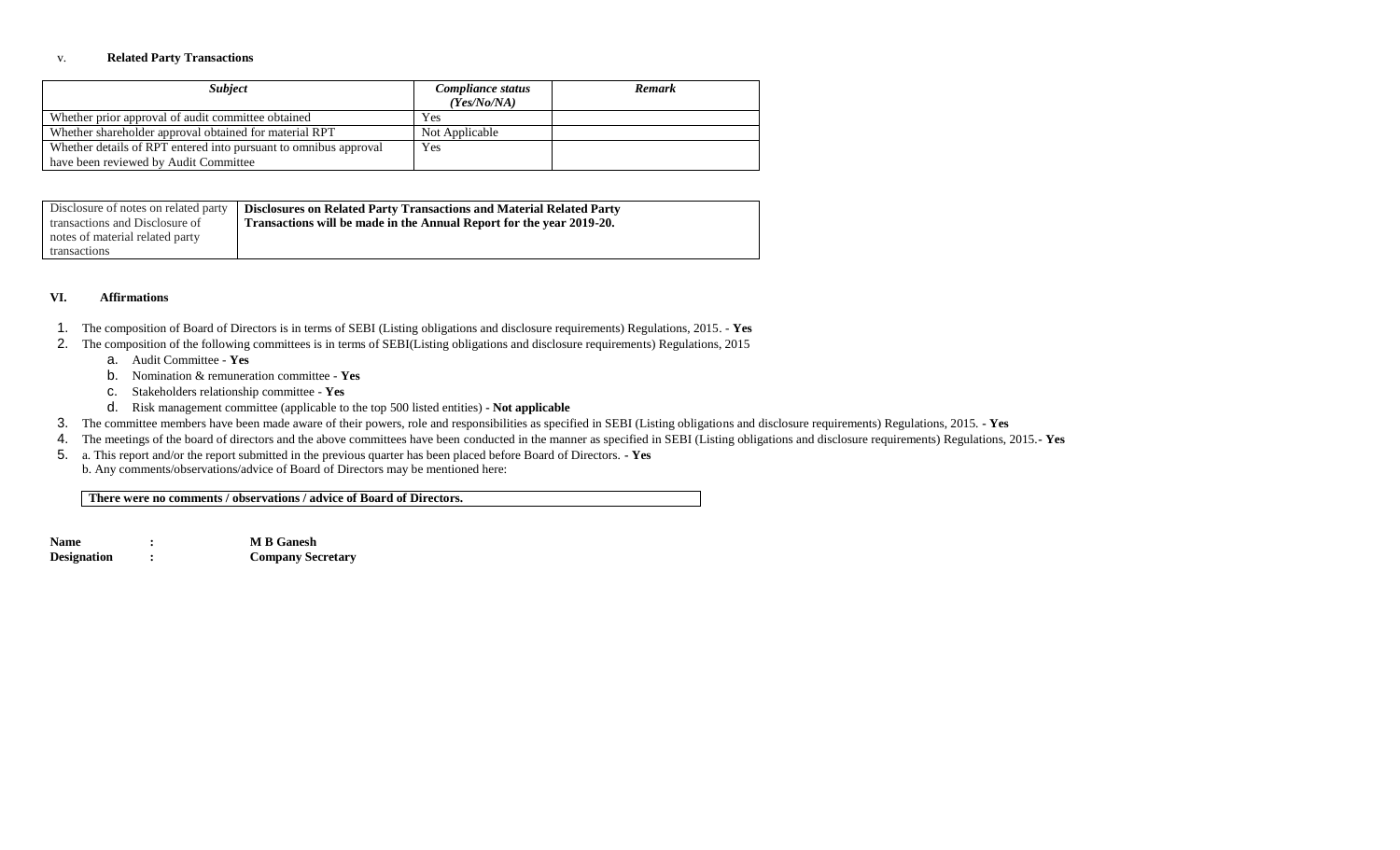#### v. **Related Party Transactions**

| <b>Subject</b>                                                   | Compliance status | Remark |
|------------------------------------------------------------------|-------------------|--------|
|                                                                  | (Yes/No/NA)       |        |
| Whether prior approval of audit committee obtained               | Yes               |        |
| Whether shareholder approval obtained for material RPT           | Not Applicable    |        |
| Whether details of RPT entered into pursuant to omnibus approval | Yes               |        |
| have been reviewed by Audit Committee                            |                   |        |

| Disclosure of notes on related party | <b>Disclosures on Related Party Transactions and Material Related Party</b> |
|--------------------------------------|-----------------------------------------------------------------------------|
| transactions and Disclosure of       | Transactions will be made in the Annual Report for the year 2019-20.        |
| notes of material related party      |                                                                             |
| transactions                         |                                                                             |

#### **VI. Affirmations**

- 1. The composition of Board of Directors is in terms of SEBI (Listing obligations and disclosure requirements) Regulations, 2015. **Yes**
- 2. The composition of the following committees is in terms of SEBI(Listing obligations and disclosure requirements) Regulations, 2015
	- a. Audit Committee **Yes**
	- b. Nomination & remuneration committee **Yes**
	- c. Stakeholders relationship committee **Yes**
	- d. Risk management committee (applicable to the top 500 listed entities) **- Not applicable**
- 3. The committee members have been made aware of their powers, role and responsibilities as specified in SEBI (Listing obligations and disclosure requirements) Regulations, 2015. **- Yes**
- 4. The meetings of the board of directors and the above committees have been conducted in the manner as specified in SEBI (Listing obligations and disclosure requirements) Regulations, 2015.**- Yes**
- 5. a. This report and/or the report submitted in the previous quarter has been placed before Board of Directors. **- Yes**
- b. Any comments/observations/advice of Board of Directors may be mentioned here:

**There were no comments / observations / advice of Board of Directors.**

**Name : M B Ganesh Designation : Company Secretary**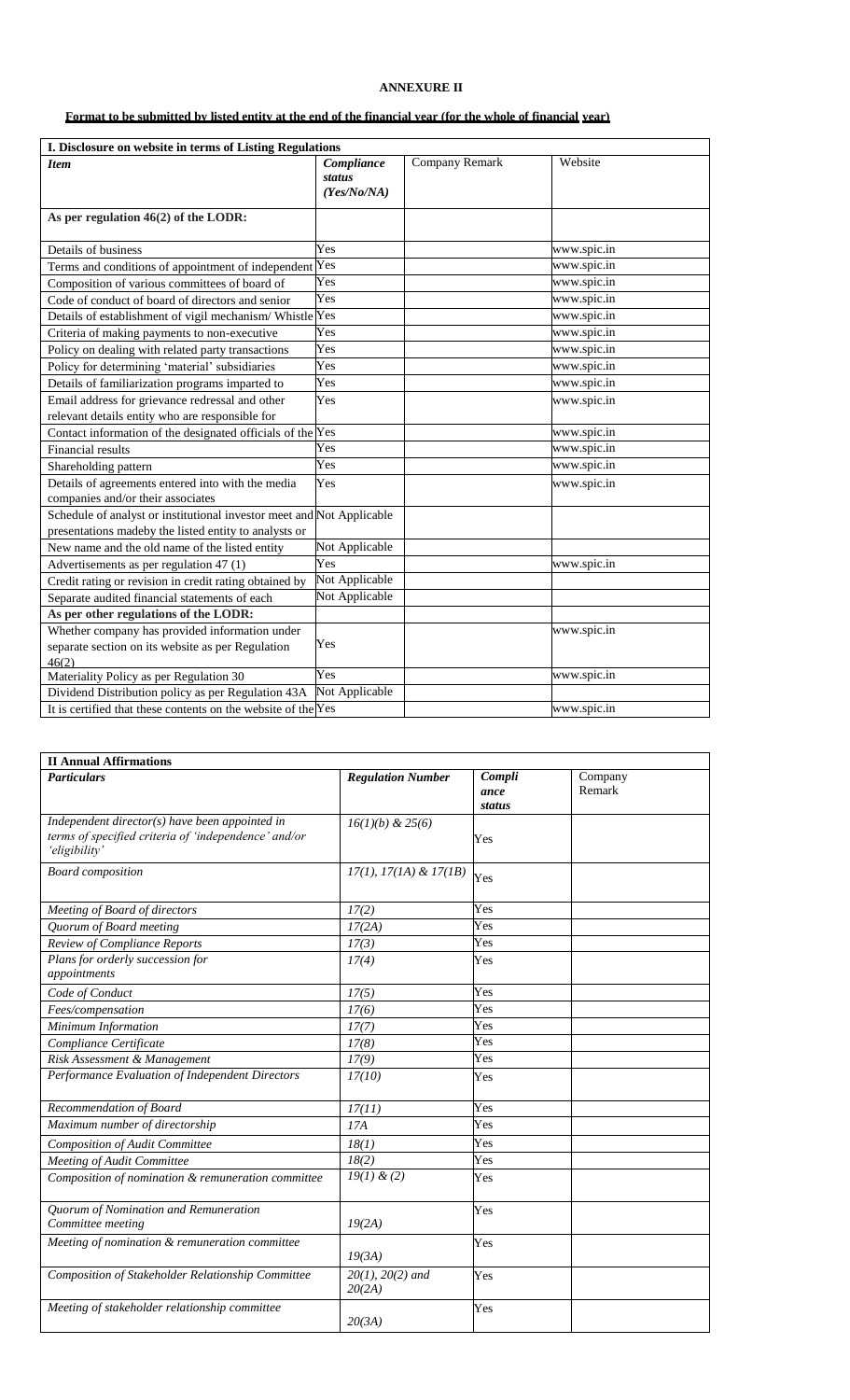# **ANNEXURE II**

# **Format to be submitted by listed entity at the end of the financial year (for the whole of financial year)**

| I. Disclosure on website in terms of Listing Regulations                                                                       |                                     |                |             |
|--------------------------------------------------------------------------------------------------------------------------------|-------------------------------------|----------------|-------------|
| <b>Item</b>                                                                                                                    | Compliance<br>status<br>(Yes/No/NA) | Company Remark | Website     |
| As per regulation 46(2) of the LODR:                                                                                           |                                     |                |             |
| Details of business                                                                                                            | Yes                                 |                | www.spic.in |
| Terms and conditions of appointment of independent Yes                                                                         |                                     |                | www.spic.in |
| Composition of various committees of board of                                                                                  | Yes                                 |                | www.spic.in |
| Code of conduct of board of directors and senior                                                                               | Yes                                 |                | www.spic.in |
| Details of establishment of vigil mechanism/ Whistle                                                                           | Yes                                 |                | www.spic.in |
| Criteria of making payments to non-executive                                                                                   | Yes                                 |                | www.spic.in |
| Policy on dealing with related party transactions                                                                              | Yes                                 |                | www.spic.in |
| Policy for determining 'material' subsidiaries                                                                                 | Yes                                 |                | www.spic.in |
| Details of familiarization programs imparted to                                                                                | Yes                                 |                | www.spic.in |
| Email address for grievance redressal and other                                                                                | Yes                                 |                | www.spic.in |
| relevant details entity who are responsible for                                                                                |                                     |                |             |
| Contact information of the designated officials of the Yes                                                                     |                                     |                | www.spic.in |
| Financial results                                                                                                              | Yes                                 |                | www.spic.in |
| Shareholding pattern                                                                                                           | Yes                                 |                | www.spic.in |
| Details of agreements entered into with the media                                                                              | Yes                                 |                | www.spic.in |
| companies and/or their associates                                                                                              |                                     |                |             |
| Schedule of analyst or institutional investor meet and Not Applicable<br>presentations madeby the listed entity to analysts or |                                     |                |             |
| New name and the old name of the listed entity                                                                                 | Not Applicable                      |                |             |
| Advertisements as per regulation 47 (1)                                                                                        | Yes                                 |                | www.spic.in |
| Credit rating or revision in credit rating obtained by                                                                         | Not Applicable                      |                |             |
| Separate audited financial statements of each                                                                                  | Not Applicable                      |                |             |
| As per other regulations of the LODR:                                                                                          |                                     |                |             |
| Whether company has provided information under<br>separate section on its website as per Regulation                            | Yes                                 |                | www.spic.in |
| 46(2)<br>Materiality Policy as per Regulation 30                                                                               | Yes                                 |                | www.spic.in |
| Dividend Distribution policy as per Regulation 43A                                                                             | Not Applicable                      |                |             |
| It is certified that these contents on the website of the $Yes$                                                                |                                     |                | www.spic.in |
|                                                                                                                                |                                     |                |             |

| <b>II Annual Affirmations</b>                                                                                           |                                 |                |         |
|-------------------------------------------------------------------------------------------------------------------------|---------------------------------|----------------|---------|
| <b>Particulars</b>                                                                                                      | <b>Regulation Number</b>        | Compli         | Company |
|                                                                                                                         |                                 | ance<br>status | Remark  |
| Independent director(s) have been appointed in<br>terms of specified criteria of 'independence' and/or<br>'eligibility' | $16(1)(b)$ & 25(6)              | Yes            |         |
| <b>Board</b> composition                                                                                                | $17(1), 17(1A) \& 17(1B)$       | Yes            |         |
| Meeting of Board of directors                                                                                           | 17(2)                           | Yes            |         |
| Quorum of Board meeting                                                                                                 | 17(2A)                          | Yes            |         |
| Review of Compliance Reports                                                                                            | 17(3)                           | Yes            |         |
| Plans for orderly succession for<br>appointments                                                                        | 17(4)                           | Yes            |         |
| Code of Conduct                                                                                                         | 17(5)                           | Yes            |         |
| Fees/compensation                                                                                                       | 17(6)                           | Yes            |         |
| Minimum Information                                                                                                     | 17(7)                           | Yes            |         |
| Compliance Certificate                                                                                                  | 17(8)                           | Yes            |         |
| Risk Assessment & Management                                                                                            | 17(9)                           | Yes            |         |
| Performance Evaluation of Independent Directors                                                                         | 17(10)                          | Yes            |         |
| Recommendation of Board                                                                                                 | 17(11)                          | Yes            |         |
| Maximum number of directorship                                                                                          | 17A                             | Yes            |         |
| <b>Composition of Audit Committee</b>                                                                                   | 18(1)                           | Yes            |         |
| Meeting of Audit Committee                                                                                              | 18(2)                           | Yes            |         |
| Composition of nomination & remuneration committee                                                                      | 19(1) & (2)                     | Yes            |         |
| Quorum of Nomination and Remuneration<br>Committee meeting                                                              | 19(2A)                          | Yes            |         |
| Meeting of nomination & remuneration committee                                                                          | 19(3A)                          | Yes            |         |
| Composition of Stakeholder Relationship Committee                                                                       | $20(1)$ , $20(2)$ and<br>20(2A) | Yes            |         |
| Meeting of stakeholder relationship committee                                                                           | 20(3A)                          | Yes            |         |